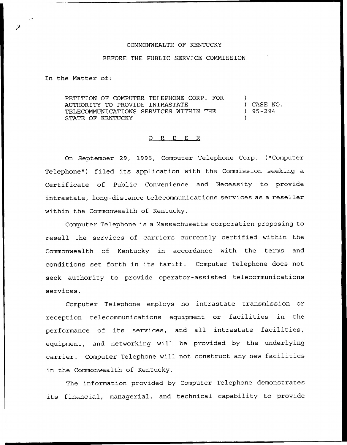## COMMONWEALTH OF KENTUCKY

## BEFORE THE PUBLIC SERVICE COMMISSION

In the Matter of:

PETITION OF COMPUTER TELEPHONE CORP. FOR AUTHORITY TO PROVIDE INTRASTATE TELECOMMUNICATIONS SERVICES WITHIN THE STATE OF KENTUCKY ) ) CASE NO.  $)$  95 – 294 )

## O R D E R

On September 29, 1995, Computer Telephone Corp. ("Computer Telephone") filed its application with the Commission seeking a Certificate of Public Convenience and Necessity to provide intrastate, long-distance telecommunications services as a reseller within the Commonwealth of Kentucky.

Computer Telephone is a Massachusetts corporation proposing to resell the services of carriers currently certified within the Commonwealth of Kentucky in accordance with the terms and conditions set forth in its tariff. Computer Telephone does not seek authority to provide operator-assisted telecommunications services.

Computer Telephone employs no intrastate transmission or reception telecommunications equipment or facilities in the performance of its services, and all intrastate facilities, equipment, and networking will be provided by the underlying carrier. Computer Telephone will not construct any new facilities in the Commonwealth of Kentucky.

The information provided by Computer Telephone demonstrates its financial, managerial, and technical capability to provide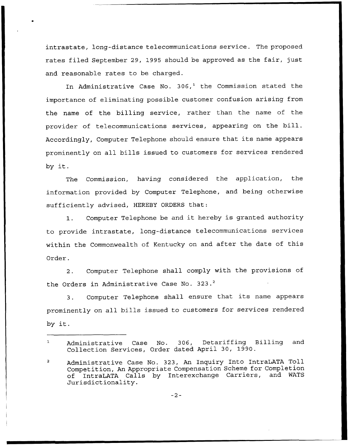intrastate, long-distance telecommunications service. The proposed rates filed September 29, 1995 should be approved as the fair, just and reasonable rates to be charged.

In Administrative Case No.  $306<sup>1</sup>$  the Commission stated the importance of eliminating possible customer confusion arising from the name of the billing service, rather than the name of the provider of telecommunications services, appearing on the bill. Accordingly, Computer Telephone should ensure that its name appears prominently on all bills issued to customers for services rendered by it.

The Commission, having considered the application, the information provided by Computer Telephone, and being otherwise sufficiently advised, HEREBY ORDERS that:

1. Computer Telephone be and it hereby is granted authority to provide intrastate, long-distance telecommunications services within the Commonwealth of Kentucky on and after the date of this Order.

2. Computer Telephone shall comply with the provisions of the Orders in Administrative Case No. 323.<sup>2</sup>

Computer Telephone shall ensure that its name appears  $3<sup>1</sup>$ prominently on all bills issued to customers for services rendered by it.

 $-2-$ 

Administrative Case No. 306, Detariffing Billing and  $\mathbf 1$ Collection Services, Order dated April 30, 1990.

 $\overline{2}$ Administrative Case No. 323, An Inquiry Into IntraLATA Toll Competition, An Appropriate Compensation Scheme for Completion of IntraLATA Calls by Interexchange Carriers, Jurisdictionality.